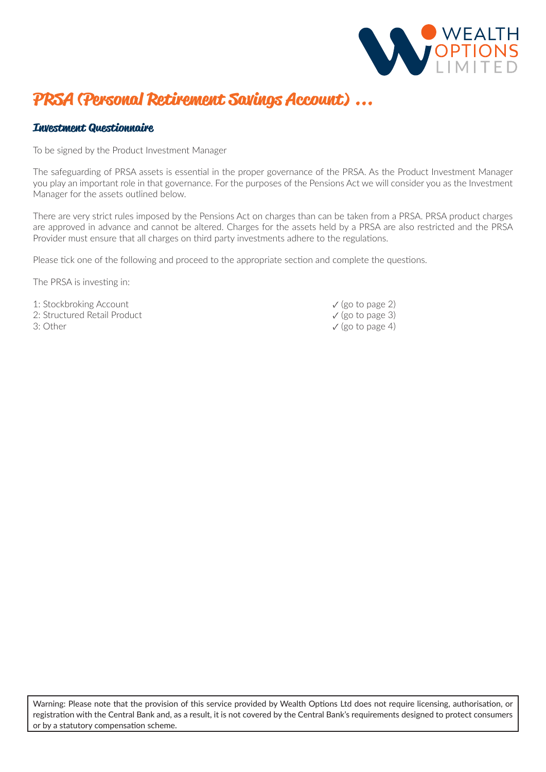

## **PRSA (Personal Retirement Savings Account) ...**

### **Investment Questionnaire**

To be signed by the Product Investment Manager

The safeguarding of PRSA assets is essential in the proper governance of the PRSA. As the Product Investment Manager you play an important role in that governance. For the purposes of the Pensions Act we will consider you as the Investment Manager for the assets outlined below.

There are very strict rules imposed by the Pensions Act on charges than can be taken from a PRSA. PRSA product charges are approved in advance and cannot be altered. Charges for the assets held by a PRSA are also restricted and the PRSA Provider must ensure that all charges on third party investments adhere to the regulations.

Please tick one of the following and proceed to the appropriate section and complete the questions.

The PRSA is investing in:

1: Stockbroking Account<br>
2: Structured Retail Product<br>
2: Structured Retail Product 2: Structured Retail Product

3: Other  $\checkmark$  (go to page 4)

Warning: Please note that the provision of this service provided by Wealth Options Ltd does not require licensing, authorisation, or registration with the Central Bank and, as a result, it is not covered by the Central Bank's requirements designed to protect consumers or by a statutory compensation scheme.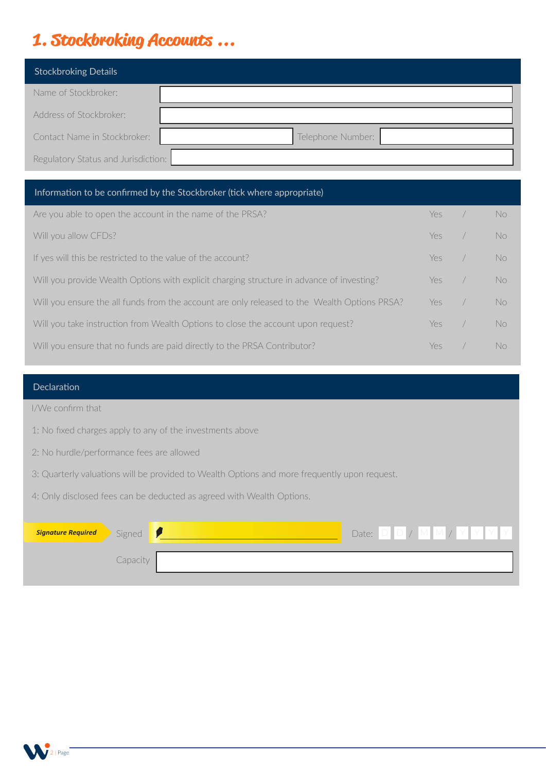# **1. Stockbroking Accounts ...**

| <b>Stockbroking Details</b>         |                   |
|-------------------------------------|-------------------|
| Name of Stockbroker:                |                   |
| Address of Stockbroker:             |                   |
| Contact Name in Stockbroker:        | Telephone Number: |
| Regulatory Status and Jurisdiction: |                   |

### Information to be confirmed by the Stockbroker (tick where appropriate)

| Are you able to open the account in the name of the PRSA?                                    | Yes  | No. |
|----------------------------------------------------------------------------------------------|------|-----|
| Will you allow CFDs?                                                                         | Yes  | No  |
| If yes will this be restricted to the value of the account?                                  | Yes  | No. |
| Will you provide Wealth Options with explicit charging structure in advance of investing?    | Yes. | No. |
| Will you ensure the all funds from the account are only released to the Wealth Options PRSA? | Yes: | No. |
| Will you take instruction from Wealth Options to close the account upon request?             |      | No  |
| Will you ensure that no funds are paid directly to the PRSA Contributor?                     | Yρς  | No  |

### Declaration

I/We confirm that

1: No fixed charges apply to any of the investments above

- 2: No hurdle/performance fees are allowed
- 3: Quarterly valuations will be provided to Wealth Options and more frequently upon request.

4: Only disclosed fees can be deducted as agreed with Wealth Options.

| Signature Required Signed 1 |          | Date: $D$ $D$ / $M$ $M$ / $Y$ $Y$ $Y$ |
|-----------------------------|----------|---------------------------------------|
|                             | Capacity |                                       |

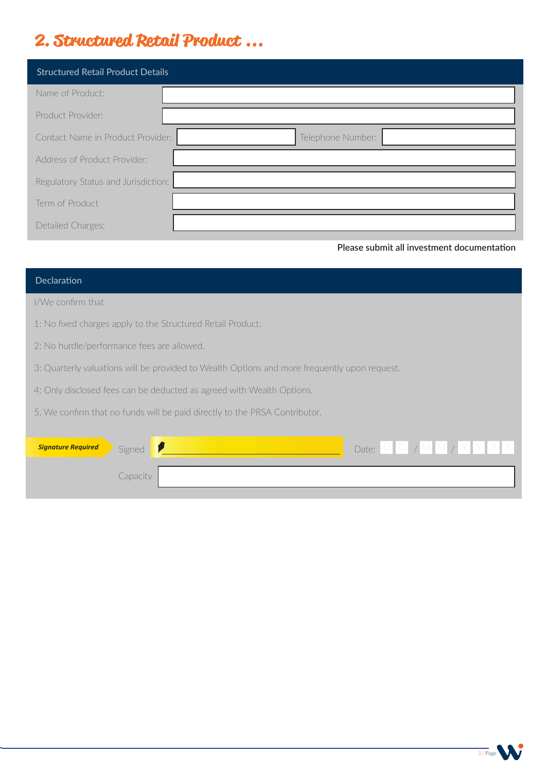# **2. Structured Retail Product ...**

| <b>Structured Retail Product Details</b> |                   |
|------------------------------------------|-------------------|
| Name of Product:                         |                   |
| Product Provider:                        |                   |
| Contact Name in Product Provider:        | Telephone Number: |
| Address of Product Provider:             |                   |
| Regulatory Status and Jurisdiction:      |                   |
| Term of Product                          |                   |
| Detailed Charges:                        |                   |

**Please submit all investment documentation**

| Declaration                                                                                  |  |  |
|----------------------------------------------------------------------------------------------|--|--|
| I/We confirm that                                                                            |  |  |
| 1: No fixed charges apply to the Structured Retail Product.                                  |  |  |
| 2: No hurdle/performance fees are allowed.                                                   |  |  |
| 3: Quarterly valuations will be provided to Wealth Options and more frequently upon request. |  |  |
| 4: Only disclosed fees can be deducted as agreed with Wealth Options.                        |  |  |
| 5. We confirm that no funds will be paid directly to the PRSA Contributor.                   |  |  |
|                                                                                              |  |  |
| Date: $D$ $D$ $\gamma$ $M$ $M$ $\gamma$ $Y$ $Y$ $Y$<br><b>Signature Required</b><br>Signed   |  |  |
| Capacity                                                                                     |  |  |